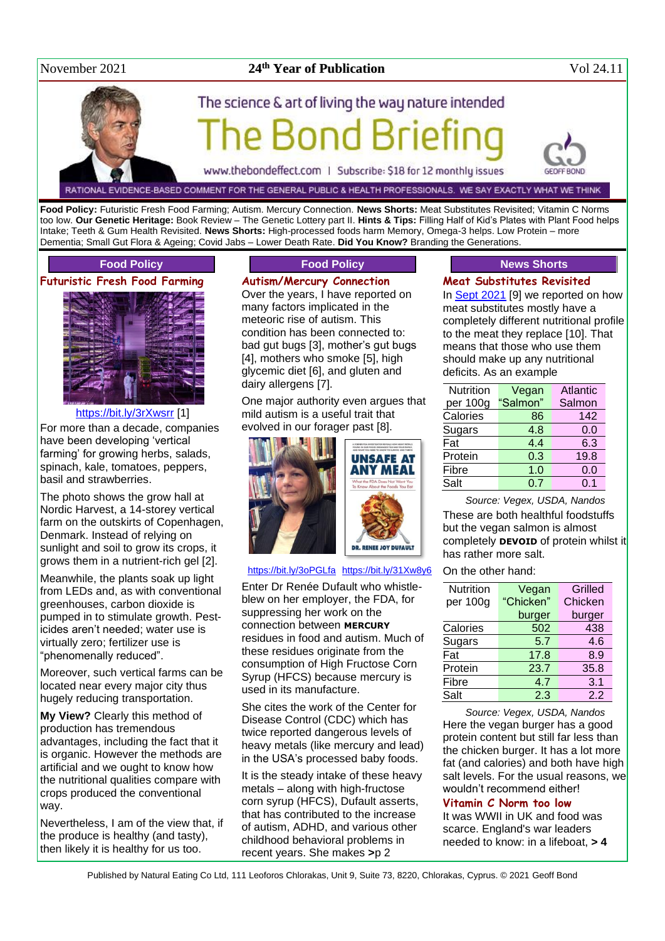#### November 2021

### **24<sup>th</sup> Year of Publication** Vol 24.11

# The science & art of living the way nature intended Bond Brie

www.thebondeffect.com | Subscribe: \$18 for 12 monthly issues

RATIONAL EVIDENCE-BASED COMMENT FOR THE GENERAL PUBLIC & HEALTH PROFESSIONALS. WE SAY EXACTLY WHAT WE THINK

**Food Policy:** Futuristic Fresh Food Farming; Autism. Mercury Connection. **News Shorts:** Meat Substitutes Revisited; Vitamin C Norms too low. **Our Genetic Heritage:** Book Review – The Genetic Lottery part II. **Hints & Tips:** Filling Half of Kid's Plates with Plant Food helps Intake; Teeth & Gum Health Revisited. **News Shorts:** High-processed foods harm Memory, Omega-3 helps. Low Protein – more Dementia; Small Gut Flora & Ageing; Covid Jabs – Lower Death Rate. **Did You Know?** Branding the Generations.

#### **Food Policy**

#### **Futuristic Fresh Food Farming**



#### <https://bit.ly/3rXwsrr> [1]

For more than a decade, companies have been developing 'vertical farming' for growing herbs, salads, spinach, kale, tomatoes, peppers, basil and strawberries.

The photo shows the grow hall at Nordic Harvest, a 14-storey vertical farm on the outskirts of Copenhagen, Denmark. Instead of relying on sunlight and soil to grow its crops, it grows them in a nutrient-rich gel [2].

Meanwhile, the plants soak up light from LEDs and, as with conventional greenhouses, carbon dioxide is pumped in to stimulate growth. Pesticides aren't needed; water use is virtually zero; fertilizer use is "phenomenally reduced".

Moreover, such vertical farms can be located near every major city thus hugely reducing transportation.

**My View?** Clearly this method of production has tremendous advantages, including the fact that it is organic. However the methods are artificial and we ought to know how the nutritional qualities compare with crops produced the conventional way.

Nevertheless, I am of the view that, if the produce is healthy (and tasty), then likely it is healthy for us too.

#### **Food Policy**

**Autism/Mercury Connection**

Over the years, I have reported on many factors implicated in the meteoric rise of autism. This condition has been connected to: bad gut bugs [3], mother's gut bugs [4], mothers who smoke [5], high glycemic diet [6], and gluten and dairy allergens [7].

One major authority even argues that mild autism is a useful trait that evolved in our forager past [8].



<https://bit.ly/3oPGLfa> <https://bit.ly/31Xw8y6>

Enter Dr Renée Dufault who whistleblew on her employer, the FDA, for suppressing her work on the connection between **MERCURY** residues in food and autism. Much of these residues originate from the consumption of High Fructose Corn Syrup (HFCS) because mercury is used in its manufacture.

She cites the work of the Center for Disease Control (CDC) which has twice reported dangerous levels of heavy metals (like mercury and lead) in the USA's processed baby foods.

It is the steady intake of these heavy metals – along with high-fructose corn syrup (HFCS), Dufault asserts, that has contributed to the increase of autism, ADHD, and various other childhood behavioral problems in recent years. She makes **>**p 2

### **News Shorts**

#### **Meat Substitutes Revisited**

In **Sept 2021** [9] we reported on how meat substitutes mostly have a completely different nutritional profile to the meat they replace [10]. That means that those who use them should make up any nutritional deficits. As an example

| Nutrition | Vegan    | Atlantic |
|-----------|----------|----------|
| per 100g  | "Salmon" | Salmon   |
| Calories  | 86       | 142      |
| Sugars    | 4.8      | 0.0      |
| Fat       | 4.4      | 6.3      |
| Protein   | 0.3      | 19.8     |
| Fibre     | 1.0      | 0.0      |
| Salt      | 0.7      | 0.1      |

*Source: Vegex, USDA, Nandos* These are both healthful foodstuffs but the vegan salmon is almost completely **DEVOID** of protein whilst it has rather more salt.

#### On the other hand:

| Nutrition | Vegan     | <b>Grilled</b> |
|-----------|-----------|----------------|
| per 100g  | "Chicken" | Chicken        |
|           | burger    | burger         |
| Calories  | 502       | 438            |
| Sugars    | 5.7       | 4.6            |
| Fat       | 17.8      | 8.9            |
| Protein   | 23.7      | 35.8           |
| Fibre     | 4.7       | 3.1            |
| Salt      | 2.3       | 2.2            |

*Source: Vegex, USDA, Nandos* Here the vegan burger has a good protein content but still far less than the chicken burger. It has a lot more fat (and calories) and both have high salt levels. For the usual reasons, we wouldn't recommend either!

#### **Vitamin C Norm too low**

It was WWII in UK and food was scarce. England's war leaders needed to know: in a lifeboat, **> 4**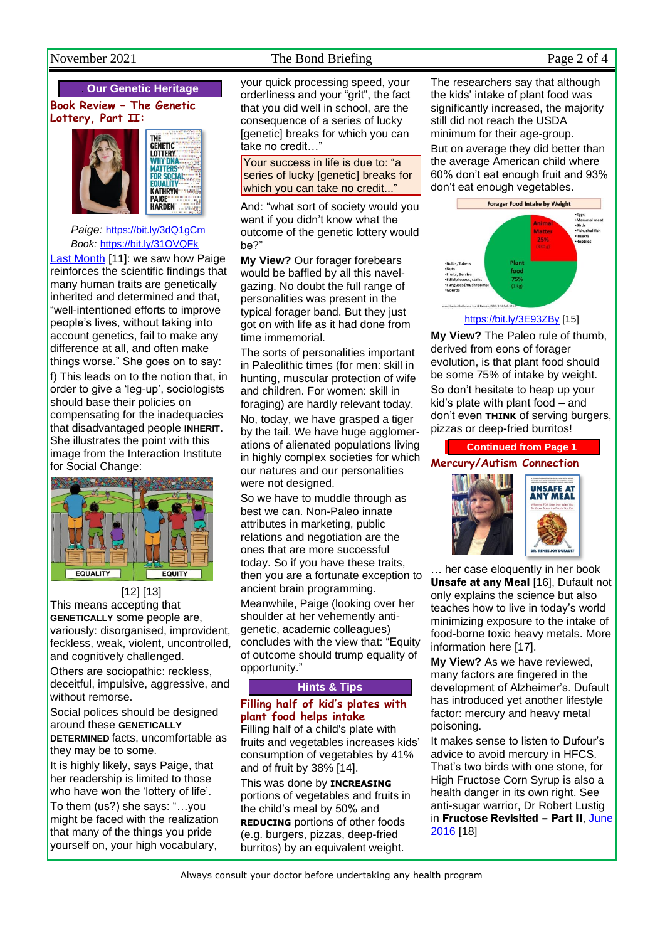# . **Our Genetic Heritage**

#### **Book Review – The Genetic Lottery, Part II:**





*Paige:* <https://bit.ly/3dQ1gCm> *Book:* <https://bit.ly/31OVQFk>

[Last Month](http://www.naturaleater.com/newsletter-archive/news-2021/news-2021-10.pdf) [11]: we saw how Paige reinforces the scientific findings that many human traits are genetically inherited and determined and that, "well-intentioned efforts to improve people's lives, without taking into account genetics, fail to make any difference at all, and often make things worse." She goes on to say: f) This leads on to the notion that, in order to give a 'leg-up', sociologists should base their policies on compensating for the inadequacies that disadvantaged people **INHERIT**. She illustrates the point with this image from the Interaction Institute for Social Change:



[12] [13] This means accepting that **GENETICALLY** some people are, variously: disorganised, improvident, feckless, weak, violent, uncontrolled, and cognitively challenged.

Others are sociopathic: reckless, deceitful, impulsive, aggressive, and without remorse.

Social polices should be designed around these **GENETICALLY DETERMINED** facts, uncomfortable as they may be to some.

It is highly likely, says Paige, that her readership is limited to those who have won the 'lottery of life'.

To them (us?) she says: "…you might be faced with the realization that many of the things you pride yourself on, your high vocabulary,

# November 2021 The Bond Briefing Page 2 of 4

your quick processing speed, your orderliness and your "grit", the fact that you did well in school, are the consequence of a series of lucky [genetic] breaks for which you can take no credit…"

Your success in life is due to: "a series of lucky [genetic] breaks for which you can take no credit..."

And: "what sort of society would you want if you didn't know what the outcome of the genetic lottery would be?"

**My View?** Our forager forebears would be baffled by all this navelgazing. No doubt the full range of personalities was present in the typical forager band. But they just got on with life as it had done from time immemorial.

The sorts of personalities important in Paleolithic times (for men: skill in hunting, muscular protection of wife and children. For women: skill in foraging) are hardly relevant today.

No, today, we have grasped a tiger by the tail. We have huge agglomerations of alienated populations living in highly complex societies for which our natures and our personalities were not designed.

So we have to muddle through as best we can. Non-Paleo innate attributes in marketing, public relations and negotiation are the ones that are more successful today. So if you have these traits, then you are a fortunate exception to ancient brain programming. Meanwhile, Paige (looking over her shoulder at her vehemently antigenetic, academic colleagues)

concludes with the view that: "Equity of outcome should trump equality of opportunity."

#### **Hints & Tips**

# **Filling half of kid's plates with plant food helps intake**

Filling half of a child's plate with fruits and vegetables increases kids' consumption of vegetables by 41% and of fruit by 38% [14].

This was done by **INCREASING** portions of vegetables and fruits in the child's meal by 50% and **REDUCING** portions of other foods (e.g. burgers, pizzas, deep-fried burritos) by an equivalent weight.

The researchers say that although the kids' intake of plant food was significantly increased, the majority still did not reach the USDA minimum for their age-group.

But on average they did better than the average American child where 60% don't eat enough fruit and 93% don't eat enough vegetables.



<https://bit.ly/3E93ZBy> [15]

**My View?** The Paleo rule of thumb, derived from eons of forager evolution, is that plant food should be some 75% of intake by weight. So don't hesitate to heap up your kid's plate with plant food – and don't even **THINK** of serving burgers, pizzas or deep-fried burritos!

**Continued from Page 1 Mercury/Autism Connection**



… her case eloquently in her book Unsafe at any Meal [16], Dufault not only explains the science but also teaches how to live in today's world minimizing exposure to the intake of food-borne toxic heavy metals. More information here [17].

**My View?** As we have reviewed, many factors are fingered in the development of Alzheimer's. Dufault has introduced yet another lifestyle factor: mercury and heavy metal poisoning.

It makes sense to listen to Dufour's advice to avoid mercury in HFCS. That's two birds with one stone, for High Fructose Corn Syrup is also a health danger in its own right. See anti-sugar warrior, Dr Robert Lustig in Fructose Revisited - Part II, June [2016](http://www.naturaleater.com/newsletter-archive/NEWS-2016/NEWS-2016-06.pdf) [18]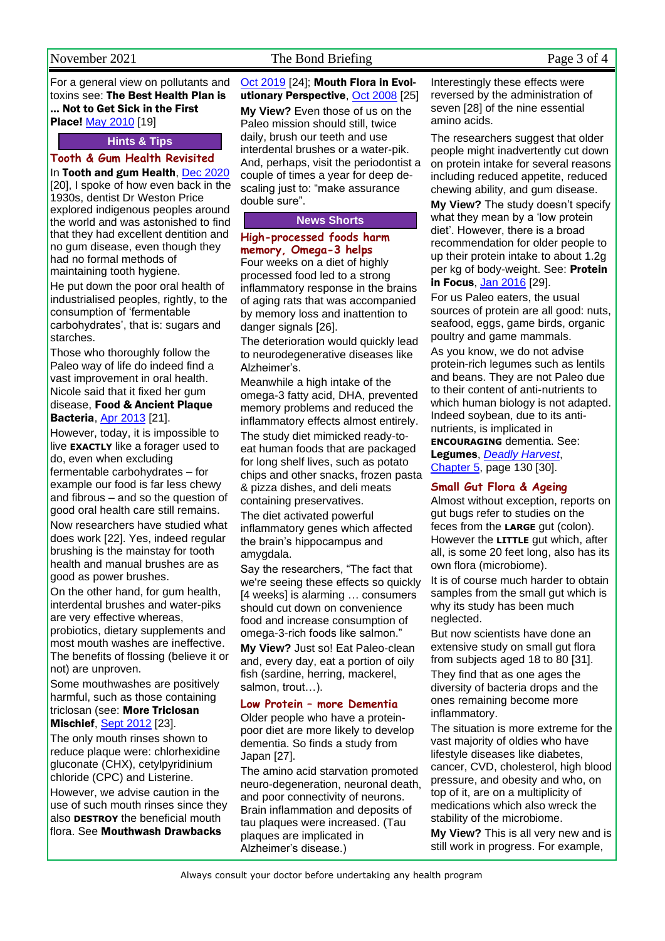#### November 2021 The Bond Briefing Page 3 of 4

For a general view on pollutants and toxins see: The Best Health Plan is … Not to Get Sick in the First Place! May [2010](http://www.naturaleater.com/newsletter-archive/news-2010/news-2010-05.pdf) [19]

#### **Hints & Tips**

# **Tooth & Gum Health Revisited**

In Tooth and gum Health, [Dec 2020](http://www.naturaleater.com/newsletter-archive/news-2020/news-2020-12.pdf) [20], I spoke of how even back in the 1930s, dentist Dr Weston Price explored indigenous peoples around the world and was astonished to find that they had excellent dentition and no gum disease, even though they had no formal methods of maintaining tooth hygiene.

He put down the poor oral health of industrialised peoples, rightly, to the consumption of 'fermentable carbohydrates', that is: sugars and starches.

Those who thoroughly follow the Paleo way of life do indeed find a vast improvement in oral health. Nicole said that it fixed her gum disease, Food & Ancient Plaque **Bacteria**, [Apr 2013](http://www.naturaleater.com/newsletter-archive/NEWS-2013/NEWS-2013-04.pdf) [21].

However, today, it is impossible to live **EXACTLY** like a forager used to do, even when excluding fermentable carbohydrates – for example our food is far less chewy and fibrous – and so the question of good oral health care still remains. Now researchers have studied what does work [22]. Yes, indeed regular brushing is the mainstay for tooth health and manual brushes are as good as power brushes.

On the other hand, for gum health, interdental brushes and water-piks are very effective whereas, probiotics, dietary supplements and most mouth washes are ineffective. The benefits of flossing (believe it or not) are unproven.

Some mouthwashes are positively harmful, such as those containing triclosan (see: More Triclosan **Mischief, [Sept 2012](http://www.naturaleater.com/newsletter-archive/NEWS-2012/NEWS-2012-09.pdf) [23].** 

The only mouth rinses shown to reduce plaque were: chlorhexidine gluconate (CHX), cetylpyridinium chloride (CPC) and Listerine.

However, we advise caution in the use of such mouth rinses since they also **DESTROY** the beneficial mouth flora. See Mouthwash Drawbacks

[Oct 2019](http://www.naturaleater.com/NEWSLETTER-ARCHIVE/NEWS-2019/news-2019-10.pdf) [24]; Mouth Flora in Evolutionary Perspective, [Oct 2008](http://www.naturaleater.com/newsletter-archive/NEWS-2008/News-2008-10.pdf) [25]

**My View?** Even those of us on the Paleo mission should still, twice daily, brush our teeth and use interdental brushes or a water-pik. And, perhaps, visit the periodontist a couple of times a year for deep descaling just to: "make assurance double sure".

#### **News Shorts**

#### **High-processed foods harm memory, Omega-3 helps**

Four weeks on a diet of highly processed food led to a strong inflammatory response in the brains of aging rats that was accompanied by memory loss and inattention to danger signals [26].

The deterioration would quickly lead to neurodegenerative diseases like Alzheimer's.

Meanwhile a high intake of the omega-3 fatty acid, DHA, prevented memory problems and reduced the inflammatory effects almost entirely. The study diet mimicked ready-toeat human foods that are packaged for long shelf lives, such as potato chips and other snacks, frozen pasta & pizza dishes, and deli meats containing preservatives.

The diet activated powerful inflammatory genes which affected the brain's hippocampus and amygdala.

Say the researchers, "The fact that we're seeing these effects so quickly [4 weeks] is alarming … consumers should cut down on convenience food and increase consumption of omega-3-rich foods like salmon."

**My View?** Just so! Eat Paleo-clean and, every day, eat a portion of oily fish (sardine, herring, mackerel, salmon, trout…).

#### **Low Protein – more Dementia**

Older people who have a proteinpoor diet are more likely to develop dementia. So finds a study from Japan [27].

The amino acid starvation promoted neuro-degeneration, neuronal death, and poor connectivity of neurons. Brain inflammation and deposits of tau plaques were increased. (Tau plaques are implicated in Alzheimer's disease.)

Interestingly these effects were reversed by the administration of seven [28] of the nine essential amino acids.

The researchers suggest that older people might inadvertently cut down on protein intake for several reasons including reduced appetite, reduced chewing ability, and gum disease.

**My View?** The study doesn't specify what they mean by a 'low protein diet'. However, there is a broad recommendation for older people to up their protein intake to about 1.2g per kg of body-weight. See: Protein in Focus, [Jan 2016](http://www.naturaleater.com/newsletter-archive/NEWS-2016/NEWS-2016-01.pdf) [29].

For us Paleo eaters, the usual sources of protein are all good: nuts, seafood, eggs, game birds, organic poultry and game mammals.

As you know, we do not advise protein-rich legumes such as lentils and beans. They are not Paleo due to their content of anti-nutrients to which human biology is not adapted. Indeed soybean, due to its antinutrients, is implicated in **ENCOURAGING** dementia. See:

Legumes, *[Deadly Harvest](http://www.deadlyharvest.com/)*, [Chapter](http://www.naturaleater.com/Deadly-Harvest/Web-Edition/50-Deadly-Harvest-chapter5.htm) 5, page 130 [30].

#### **Small Gut Flora & Ageing**

Almost without exception, reports on gut bugs refer to studies on the feces from the **LARGE** gut (colon). However the **LITTLE** gut which, after all, is some 20 feet long, also has its own flora (microbiome).

It is of course much harder to obtain samples from the small gut which is why its study has been much neglected.

But now scientists have done an extensive study on small gut flora from subjects aged 18 to 80 [31].

They find that as one ages the diversity of bacteria drops and the ones remaining become more inflammatory.

The situation is more extreme for the vast majority of oldies who have lifestyle diseases like diabetes, cancer, CVD, cholesterol, high blood pressure, and obesity and who, on top of it, are on a multiplicity of medications which also wreck the stability of the microbiome.

**My View?** This is all very new and is still work in progress. For example,